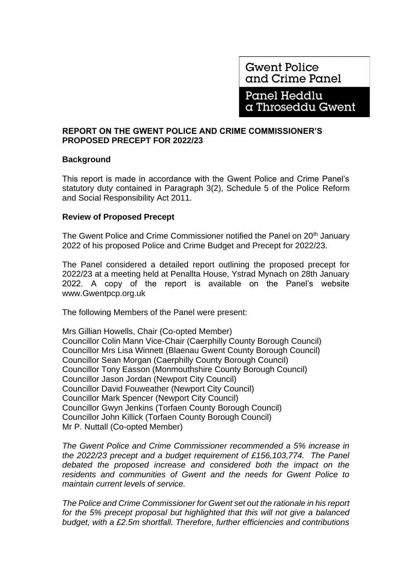**Gwent Police** and Crime Panel

**Panel Heddlu** a Throseddu Gwent

# **REPORT ON THE GWENT POLICE AND CRIME COMMISSIONER'S PROPOSED PRECEPT FOR 2022/23**

# **Background**

This report is made in accordance with the Gwent Police and Crime Panel's statutory duty contained in Paragraph 3(2), Schedule 5 of the Police Reform and Social Responsibility Act 2011.

# **Review of Proposed Precept**

The Gwent Police and Crime Commissioner notified the Panel on 20<sup>th</sup> January 2022 of his proposed Police and Crime Budget and Precept for 2022/23.

The Panel considered a detailed report outlining the proposed precept for 2022/23 at a meeting held at Penallta House, Ystrad Mynach on 28th January 2022. A copy of the report is available on the Panel's website www.Gwentpcp.org.uk

The following Members of the Panel were present:

Mrs Gillian Howells, Chair (Co-opted Member) Councillor Colin Mann Vice-Chair (Caerphilly County Borough Council) Councillor Mrs Lisa Winnett (Blaenau Gwent County Borough Council) Councillor Sean Morgan (Caerphilly County Borough Council) Councillor Tony Easson (Monmouthshire County Borough Council) Councillor Jason Jordan (Newport City Council) Councillor David Fouweather (Newport City Council) Councillor Mark Spencer (Newport City Council) Councillor Gwyn Jenkins (Torfaen County Borough Council) Councillor John Killick (Torfaen County Borough Council) Mr P. Nuttall (Co-opted Member)

*The Gwent Police and Crime Commissioner recommended a 5% increase in the 2022/23 precept and a budget requirement of £156,103,774. The Panel debated the proposed increase and considered both the impact on the residents and communities of Gwent and the needs for Gwent Police to maintain current levels of service.*

*The Police and Crime Commissioner for Gwent set out the rationale in his report for the 5% precept proposal but highlighted that this will not give a balanced budget, with a £2.5m shortfall. Therefore, further efficiencies and contributions*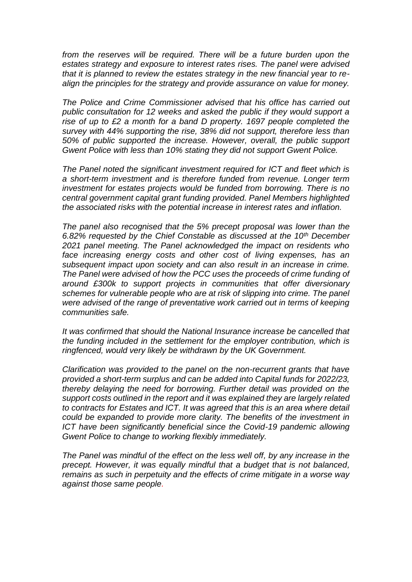*from the reserves will be required. There will be a future burden upon the estates strategy and exposure to interest rates rises. The panel were advised that it is planned to review the estates strategy in the new financial year to realign the principles for the strategy and provide assurance on value for money.* 

*The Police and Crime Commissioner advised that his office has carried out public consultation for 12 weeks and asked the public if they would support a rise of up to £2 a month for a band D property. 1697 people completed the survey with 44% supporting the rise, 38% did not support, therefore less than 50% of public supported the increase. However, overall, the public support Gwent Police with less than 10% stating they did not support Gwent Police.* 

*The Panel noted the significant investment required for ICT and fleet which is a short-term investment and is therefore funded from revenue. Longer term investment for estates projects would be funded from borrowing. There is no central government capital grant funding provided. Panel Members highlighted the associated risks with the potential increase in interest rates and inflation.* 

*The panel also recognised that the 5% precept proposal was lower than the 6.82% requested by the Chief Constable as discussed at the 10th December 2021 panel meeting. The Panel acknowledged the impact on residents who face increasing energy costs and other cost of living expenses, has an subsequent impact upon society and can also result in an increase in crime. The Panel were advised of how the PCC uses the proceeds of crime funding of around £300k to support projects in communities that offer diversionary schemes for vulnerable people who are at risk of slipping into crime. The panel*  were advised of the range of preventative work carried out in terms of keeping *communities safe.*

*It was confirmed that should the National Insurance increase be cancelled that the funding included in the settlement for the employer contribution, which is ringfenced, would very likely be withdrawn by the UK Government.* 

*Clarification was provided to the panel on the non-recurrent grants that have provided a short-term surplus and can be added into Capital funds for 2022/23, thereby delaying the need for borrowing. Further detail was provided on the support costs outlined in the report and it was explained they are largely related to contracts for Estates and ICT. It was agreed that this is an area where detail could be expanded to provide more clarity. The benefits of the investment in ICT have been significantly beneficial since the Covid-19 pandemic allowing Gwent Police to change to working flexibly immediately.* 

*The Panel was mindful of the effect on the less well off, by any increase in the precept. However, it was equally mindful that a budget that is not balanced, remains as such in perpetuity and the effects of crime mitigate in a worse way against those same people.*